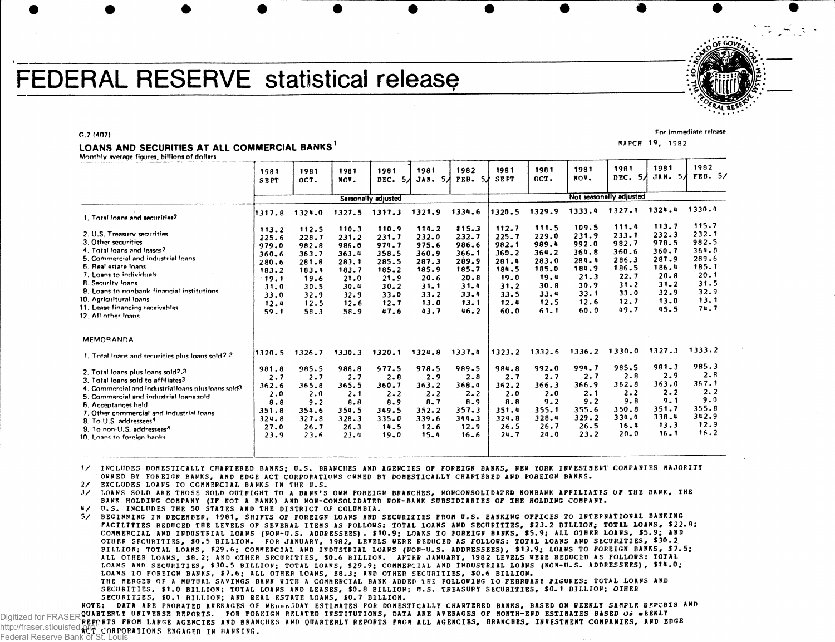# **FEDERAL RESERVE statistical release**



For immediate release

**G.7 (407)**

## LOANS AND SECURITIES AT ALL COMMERCIAL BANKS

**Monthly average figures, billions of dollars**

| 1981<br>SEPT                                                                               | 1981<br>OCT.                                                                               | 1981<br>NOV.                                                                               | 1981<br>DEC.                                                                               | 1981                                                                                           | 1982                                                                                       | 1981<br><b>SEPT</b>                                                                        | 1981<br>OCT.                                                                               | 1981<br>NOA.                                                                               | 1981<br>DEC.                                                                      | 1981                                                                                      | 1982<br>FEB. 5/                                                                            |  |
|--------------------------------------------------------------------------------------------|--------------------------------------------------------------------------------------------|--------------------------------------------------------------------------------------------|--------------------------------------------------------------------------------------------|------------------------------------------------------------------------------------------------|--------------------------------------------------------------------------------------------|--------------------------------------------------------------------------------------------|--------------------------------------------------------------------------------------------|--------------------------------------------------------------------------------------------|-----------------------------------------------------------------------------------|-------------------------------------------------------------------------------------------|--------------------------------------------------------------------------------------------|--|
| Seasonally adjusted                                                                        |                                                                                            |                                                                                            |                                                                                            |                                                                                                |                                                                                            |                                                                                            | Not seasonally adjusted                                                                    |                                                                                            |                                                                                   |                                                                                           |                                                                                            |  |
| 1317.8                                                                                     | 1324.0                                                                                     | 1327.5                                                                                     |                                                                                            | 1321.9                                                                                         | 1334.6                                                                                     | 1320.5                                                                                     | 1329.9                                                                                     | 1333.4                                                                                     | 1327.1                                                                            | 1324.4                                                                                    | 1330.4                                                                                     |  |
| 113.2<br>225.6<br>979.0<br>360.6<br>280.6<br>183.2<br>19.1<br>31.0<br>33.0<br>12.4<br>59.1 | 112.5<br>228.7<br>982.8<br>363.7<br>281.8<br>183.4<br>19.6<br>30.5<br>32.9<br>12.5<br>58.3 | 110.3<br>231.2<br>986.0<br>363.4<br>283.1<br>183.7<br>21.0<br>30.4<br>32.9<br>12.6<br>58.9 | 110.9<br>231.7<br>974.7<br>358.5<br>285.5<br>185.2<br>21.9<br>30.2<br>33.0<br>12.7<br>47.6 | 114.2<br>232.0<br>975.6<br>360.9<br>287.3<br>185.9<br>20.6<br>$31 - 1$<br>33.2<br>13.0<br>43.7 | 115.3<br>232.7<br>986.6<br>366.1<br>289.9<br>185.7<br>20.8<br>31.4<br>33.4<br>13.1<br>46.2 | 112.7<br>225.7<br>982.1<br>360.2<br>281.4<br>184.5<br>19.0<br>31.2<br>33.5<br>12.4<br>60.0 | 111.5<br>229.0<br>989.4<br>364.2<br>283.0<br>185.0<br>19.4<br>30.8<br>33.4<br>12.5<br>61.1 | 109.5<br>231.9<br>992.0<br>364.8<br>284.4<br>184.9<br>21.3<br>30.9<br>33.1<br>12.6<br>60.0 | 233.1<br>982.7<br>360.6<br>286.3<br>186.5<br>22.7<br>31.2<br>33.0<br>12.7<br>49.7 | 232.3<br>978.5<br>360.7<br>287.9<br>186.4<br>20.8<br>$31 - 2$<br>$32 - 9$<br>13.0<br>45.5 | 115.7<br>232.1<br>982.5<br>364.8<br>289.6<br>185.1<br>20.1<br>31.5<br>32.9<br>13.1<br>74.7 |  |
|                                                                                            |                                                                                            |                                                                                            |                                                                                            |                                                                                                |                                                                                            |                                                                                            |                                                                                            |                                                                                            |                                                                                   | 1327.3                                                                                    | 1333.2                                                                                     |  |
| 981.8<br>2.7<br>362.6<br>2.0<br>8.8<br>351.8<br>324.8<br>27.0<br>23.9                      | 985.5<br>2.7<br>365.8<br>2.0<br>9.2<br>354.6<br>327.8<br>26.7<br>23.6                      | 988.8<br>2.7<br>365.5<br>2.1<br>8.8<br>354.5<br>328.3<br>26.3<br>23.4                      | 977.5<br>2.8<br>360.7<br>2.2<br>8.9<br>349.5<br>335.0<br>14.5<br>19.0                      | 978.5<br>2.9<br>363.2<br>2.2<br>8.7<br>352.2<br>339.6<br>12.6<br>15.4                          | 989.5<br>2.8<br>368.4<br>2.2<br>8.9<br>357.3<br>344.3<br>12.9<br>16.6                      | 984.8<br>2.7<br>362.2<br>2.0<br>8.8<br>351.4<br>324.8<br>26.5<br>24.7                      | 992.0<br>2.7<br>366.3<br>2.0<br>$9 - 2$<br>355.1<br>328.4<br>26.7<br>24.0                  | 994.7<br>2.7<br>366.9<br>2.1<br>9.2<br>355.6<br>329.2<br>26.5<br>23.2                      | 985.5<br>2.8<br>362.8<br>2.2<br>9.8<br>350.8<br>334.4<br>16.4<br>20.0             | 981.3<br>2.9<br>363.0<br>2.2<br>9.1<br>351.7<br>338.4<br>13.3<br>16.1                     | 985.3<br>2.8<br>367.1<br>2.2<br>9.0<br>355.8<br>342.9<br>12.9<br>16.2                      |  |
|                                                                                            | 1320.5                                                                                     | 1326.7                                                                                     | 1330.3                                                                                     | 1317.3<br>1320.1                                                                               | 5Л<br>1324.8                                                                               | JAN. 5/<br>1337.4                                                                          | FEB. 5A<br>1323.2                                                                          | 1332.6                                                                                     | 1336.2                                                                            | 111.4<br>1330.0                                                                           | <b>JAN. 5A</b><br>54<br>113.7                                                              |  |

V INCLUDES DOMESTICALLY CHARTERED BANKS; U.S . BRANCHES AND AGENCIES OF FOREIGN BANKS, NEW YORK INVESTMENT COMPANIES MAJORITY OWNED BY FOREIGN BANKS, AND EDGE ACT CORPORATIONS OWNED BY DOMESTICALLY CHARTERED AND FOREIGN BANKS.

2/ EXCLUDES LOANS TO COMMERCIAL BANKS IN THE U.S.

3/ LOANS SOLD ARE THOSE SOLD OUTRIGHT TO A BANK'S OWN FOREIGN BRANCHES, NONCONSOLIDATED NONBANK APPILIATES OF THE BANK, THE BANK HOLDING COMPANY (IF NOT A BANK) AND NON-CONSOLIDATED NON-BANK SUBSIDIARIES OF THE HOLDING COMPANY.

4/ U.S. INCLUDES THE 50 STATES AND THE DISTRICT OF COLUMBIA.

5/ BEGINNING IN DECEMBER, 1981, SHIFTS OF FOREIGN LOANS AND SECURITIES FROM U.S. BANKING OPPICES TO INTERNATIONAL BANKING FACILITIES REDUCED THE LEVELS OF SEVERAL ITEMS AS FOLLOWS: TOTAL LOANS AND SECURITIES, \$23.2 BILLION; TOTAL LOANS, \$22.8; COMMERCIAL AND INDUSTRIAL LOANS (NON-U.S. ADDRESSEES). \$10.9; LOANS TO FOREIGN BANKS, \$5.9; ALL OIHER LOANS, \$5.9; AND OTHER SECURITIES, \$0.5 BILLION. FOR JANUARY, 1982, LEVELS WERE REDUCED AS FOLLOWS: TOTAL LOANS AND SECURITIES, \$30.2 BILLION; TOTAL LOANS, \$29.6; COMMERCIAL AND INDUSTRIAL LOANS (NON-U.S. ADDRESSEES), \$13.9; LOANS TO POREIGN BANKS, \$7.5; ALL OTHER LOANS, \$8.2; AND OTHER SECURITIES, \$0.6 BILLION. AFTER JANUARY, 1982 LEVELS WEBE REDUCED AS FOLLOWS: TOTAL LOANS AND SECURITIES, \$30.5 BILLION; TOTAL LOANS, \$29.9; COMMERCIAL AND INDUSTRIAL LOANS (NON-U.S. ADDRESSEES), \$14.0; LOANS 10 FOREIGN BANKS, \$7.6; ALL OTHER LOANS, \$8.3; AND OTHER SECURITIES, \$0.6 BILLION. THE MERGER OF A MUTUAL SAVINGS BANK WITH A COMMERCIAL BANK ADDED 1HE FOLLOWING TO FEBRUARY FIGURES: TOTAL LOANS AND SECURITIES, \$1.0 BILLION; TOTAL LOANS AND LEASES, \$0.8 BILLION; U.S. TREASURY SECURITIES, \$0.1 BILLION; OTHER SECURITIES, \$0.1 BILLION; AND REAL ESTATE LOANS, \$0.7 BILLION.

NOTE: DATA ARE PRORATED AVERAGES OF WEUNDJDAY ESTIMATES FOR DOMESTICALLY CHARTERED BANKS, BASED ON WEEKLY SAMPLE REPORTS AND QUARTERLY UNIVERSE REPORTS . FOR FOREIGN RELATED INSTITUTIONS , DATA ARE AVERAGES OF MONTH-END ESTIMATES BASED Oii • EEKLY REPORTS FROM LARGE AGENCIES AND BRANCHES AND QUARTERLY REPORTS FROM ALL AGENCIES , BRANCHES, INVESTMENT COMPANIES , AND EDGE http://fraser.stlouisfed.org/corporations Engaged in Banking. Digitized for FRASER Reserve Bank of St. Louis

MARCH **1 9 ,** 198 2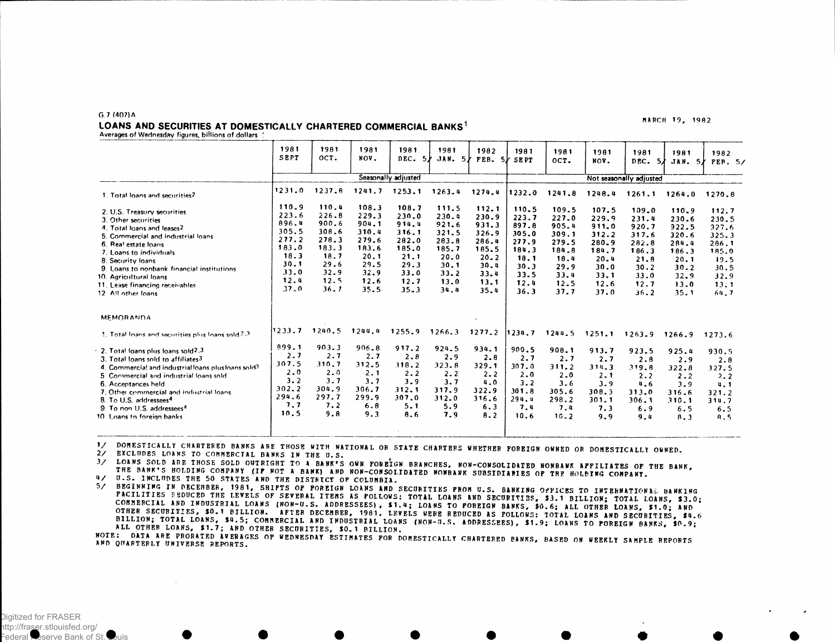#### $G.7(407)A$

### LOANS AND SECURITIES AT DOMESTICALLY CHARTERED COMMERCIAL BANKS<sup>1</sup>

Averages of Wednesday figures, billions of dollars

1981 1981 1981 1981 1981 1982 1981 1981 1981 1981 1981 1982 **SEPT** OCT. NOV.  $DEC. 5)$ JAN. 5/ FEB. 5/ SEPT OCT. NOV. DEC.  $5/$ JAN.  $5/$  PER.  $5/$ Seasonally adjusted Not seasonally adjusted  $1231.0$  $1237.8$  $1241.7$   $1253.1$  $1263.4$   $1274.4$ 1232.0 1241.8 1248.4 1261.1 1264.0 1270.8 1. Total loans and securities?  $110.9$  $110.4$  $108.3$  $108.7$ 111.5  $112.1$  $110.5$ 109.5 107.5  $109.0$ 110.9 2. U.S. Treasury securities  $112.7$  $223.6$  $226.8$  $229.3$  $230.0$  $230.4$ 230.9  $223.7$  $227.0$ 229.9 231.4 230.6 230.5 3. Other securities 896.4 900.6 904.1 914.4  $921.6$  $931.3$ 897.8 905.4  $911.0$ 920.7 922.5  $927.6$ 4. Total loans and leases2 305.5 308.6 310.4  $316.1$ 321.5  $326.9$ 305.0  $309.1$  $312.2$ 317.6  $320.6$  $325.3$ 5. Commercial and industrial loans  $277.2$  $278.3$ 279.6 282.0  $283.8$ 286.4  $277.9$ 279.5 280.9 282.8 284.4 266.1 6. Real estate loans 183.0  $183.3$ 183.6 185.0 185.7 185.5 184.3 184.8 184.7 186.3 186.3 185.0 7. Loans to individuals  $18.3$  $18.7$  $20.1$  $21.1$  $20.0$  $20 - 2$  $18.1$ 18,4  $20.4$  $21.8$  $20.1$  $19.5$ 8. Security loans  $30.1$  $29.6$ 29.5  $29.3$  $30.1$  $30.4$  $30.3$  $29.9$  $30.0$  $30.2$  $30.2$  $30.5$ 9. Loans to nonbank financial institutions  $33.0$  $32.9$  $32.9$  $33.0$  $33.2$  $33.4$ 33.5  $33.4$  $33.1$  $33.0$  $32.9$  $32.9$ 10. Agricultural loans  $12.4$  $12.5$  $12.6$  $12.7$  $13.0$  $13.1$  $12.4$  $12.5$  $12.6$  $12.7$ 11. Lease financing receivables  $13.0$  $13.1$  $37.0$  $36.1$  $35.5$  $35 - 3$  $34.4$  $35.4$  $36.3$  $37.7$  $37.0$  $36.2$ 12 All other loans  $35.1$  $64.7$ **MEMORANDA** 1233.7 1240.5 1244.4 1255.9 1266.3 1277.2 1234.7 1244.5 1251.1 1263.9 1266.9 1273.6 1. Total loans and securities plus loans sold 2.3 899.1  $903.3$ 906.8 917.2 924.5 934.1 900.5 908.1 2. Total loans plus loans sold2.3  $913.7$ 923.5  $925.4$ 930.5  $2.7$  $2.7$  $2.7$  $2 - 8$  $2.9$  $2 - 8$  $2.7$  $2.7$ 3. Total loans sold to affiliates3  $2.7$  $2.8$  $2.9$  $2.8$ 307.5  $310.7$ 312.5 318.2  $323.8$ 329.1  $307.0$  $311.2$  $314.3$ 319.8 4. Commercial and industrial loans plus loans sold?  $322.8$ 327.5  $2.0$  $2.0$  $2.1$  $2.2$  $2.2$  $2 - 2$  $2.0$  $2.0$  $2.1$ 5. Commercial and industrial loans sold.  $2.2$  $2.2$  $2.2$  $3.2$  $3.7$  $3.7$  $3.9$  $3.7$  $4.0$  $3.2$  $3.6$ 6. Acceptances held  $3.9$  $4 - 6$  $3.9$  $4.1$  $302.2$ 304.9  $306.7$  $312.1$  $317.9$ 322.9  $301.8$ 7. Other commercial and industrial loans 305.6  $308.3$  $313.0$ 316.6  $321.2$ 294.6 297.7 299.9  $307.0$  $312.0$ 316.6 294.4 8. To U.S. addressees<sup>4</sup> 298.2  $301.1$  $306.1$  $310.1$ 314.7  $7.2$  $7.7$  $6.8$  $5.1$  $5.9$  $6.3$  $7.4$ 9. To non U.S. addressees<sup>4</sup>  $7.4$  $7.3$  $6.9$  $6.5$  $6.5$  $10.5$  $9.8$  $9.3$ 8.6  $7.9$  $8.2$ 10 Loans to foreign banks  $10.6$  $16.2$  $9.9$  $9.4$  $8.3$  $R.5$ 

DOMESTICALLY CHARTERED BANKS ARE THOSE WITH NATIONAL OR STATE CHARTERS WHETHER FOREIGN OWNED OR DOMESTICALLY OWNED.  $\mathbf{1}$ 

 $\frac{2}{3}$ EXCLUDES LOANS TO COMMERCIAL BANKS IN THE U.S.

LOANS SOLD ARE THOSE SOLD OUTRIGHT TO A BANK'S OWN POBEIGN BRANCHES, NON-CONSOLIDATED NONBANK APPILIATES OF THE BANK,  $\frac{3}{2}$ THE BANK'S HOLDING COMPANY (IF NOT A BANK) AND NON-CONSOLIDATED NONBANK SUBSIDIARIES OF THE HOLEING COMPANY.

U.S. INCLUDES THE 50 STATES AND THE DISTRICT OF COLUMBIA.

BEGINNING IN DECEMBER, 1981, SHIPTS OF POREIGN LOANS AND SECURITIES FROM U.S. BANKING OPPICES TO INTERNATIONAL BANKING  $5/$ PACILITIES SEDUCED THE LEVELS OF SEVERAL ITEMS AS POLLOWS: TOTAL LOANS AND SECURITIES, \$3.1 BILLION; TOTAL LOANS, \$3.0; COMMERCIAL AND INDUSTRIAL LOANS (NON-U.S. ADDRESSEES), \$1.4; LOANS TO POREIGN BANKS, \$0.6; ALL OTHER LOANS, \$1.0; AND OTHER SECURITIES, \$0.1 BILLION. AFTER DECEMBER, 1981, LEVELS WERE REDUCED AS POLLOWS: TOTAL LOANS AND SECURITIES, \$4.6 BILLION: TOTAL LOANS, \$4.5; COMMERCIAL AND INDUSTRIAL LOANS (NON-8.5. ADDRESSEES), \$1.9; LOANS TO POREIGN BANKS, \$0.9; ALL OTHER LOANS, \$1.7; AND OTHER SECURITIES, \$0.1 BILLION.

NOTE: DATA ARE PRORATED AVERAGES OP WEDNESDAY ESTIMATES FOR DOMESTICALLY CHARTERED PANKS, BASED ON WEEKLY SAMPLE REPORTS AND QUARTERLY UNIVERSE REPORTS.

Digitized for FRASER http://fraser.stlouisfed.org/ eserve Bank of St

#### MARCH 19, 1982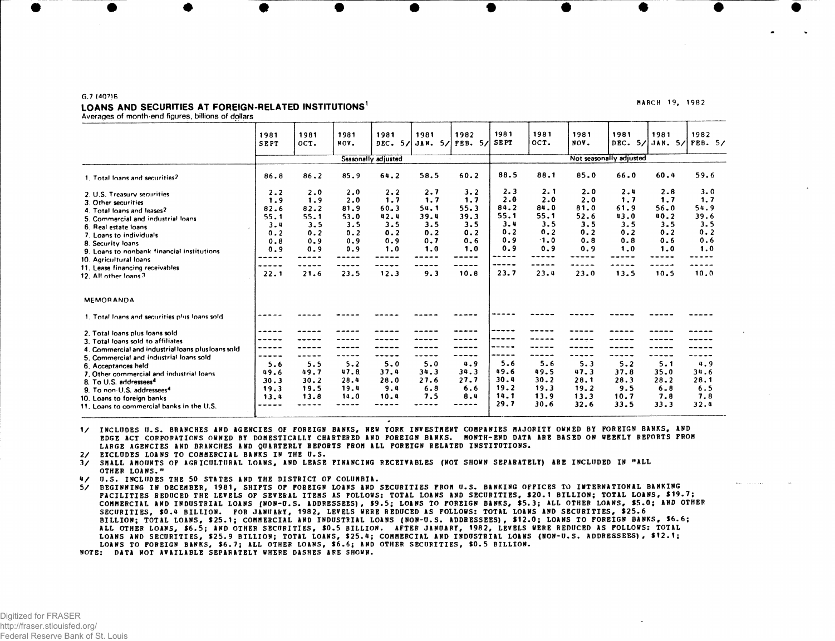## **G.7 (107)6** LOANS AND SECURITIES AT FOREIGN-RELATED INSTITUTIONS<sup>1</sup>

MARCH 19, 1982

**Averages of month-end figures, billions of dollars**

|                                                    | 1981<br>SEPT | 1981<br>OCT.        | 1981<br>NOV. | 1981<br>DEC. 5/ | 1981<br>JAN. | 1982<br>$5/$ FEB.<br>5/ | 1981<br><b>SEPT</b> | 1981<br>OCT.            | 1981<br>NOV. | 1981<br>DEC. | 1981    | 1982<br>5/ JAN. 5/ FEB. 5/ |  |  |
|----------------------------------------------------|--------------|---------------------|--------------|-----------------|--------------|-------------------------|---------------------|-------------------------|--------------|--------------|---------|----------------------------|--|--|
|                                                    |              | Seasonally adjusted |              |                 |              |                         |                     | Not seasonally adjusted |              |              |         |                            |  |  |
| 1. Total loans and securities?                     | 86.8         | 86.2                | 85.9         | 64.2            | 58.5         | 60.2                    | 88.5                | 88.1                    | 85.0         | 66.0         | 60.4    | 59.6                       |  |  |
| 2. U.S. Treasury securities                        | 2.2          | 2.0                 | 2.0          | 2.2             | 2.7          | 3.2                     | 2.3                 | 2.1                     | 2.0          | 2.4          | 2.8     | 3.0                        |  |  |
| 3. Other securities                                | 1.9          | 1.9                 | 2.0          | 1.7             | 1.7          | 1.7                     | 2.0                 | 2.0                     | 2.0          | 1.7          | 1.7     | 1.7                        |  |  |
| 4. Total loans and leases?                         | 82.6         | 82.2                | 81.9         | $60 - 3$        | 54.1         | 55.3                    | 84.2                | 84.0                    | 81.0         | 61.9         | 56.0    | 54.9                       |  |  |
| 5. Commercial and industrial loans                 | 55.1         | 55.1                | 53.0         | 42.4            | 39.4         | 39.3                    | 55.1                | 55.1                    | 52.6         | 43.0         | 40.2    | 39.6                       |  |  |
| 6. Real estate loans                               | 3.4          | 3.5                 | 3.5          | 3.5             | 3.5          | 3.5                     | 3.4                 | 3.5                     | 3.5          | 3.5          | 3.5     | 3.5                        |  |  |
| 7. Loans to individuals                            | 0.2          | 0.2                 | 0.2          | 0.2             | 0.2          | 0.2                     | 0.2                 | 0.2                     | 0.2          | 0.2          | 0.2     | 0.2                        |  |  |
| 8. Security loans                                  | 0.8          | 0.9                 | 0.9          | 0.9             | 0.7          | 0.6                     | 0.9                 | $-1.0$                  | 0.8          | 0.8          | 0.6     | 0.6                        |  |  |
| 9. Loans to nonbank financial institutions         | 0.9          | 0.9                 | 0.9          | 1.0             | 1.0          | 1.0                     | 0.9                 | 0.9                     | 0.9          | 1.0          | 1.0     | 1.0                        |  |  |
| 10. Agricultural loans                             |              |                     |              |                 |              |                         | ---                 |                         |              |              |         |                            |  |  |
| 11. Lease financing receivables                    |              |                     |              |                 |              |                         |                     |                         |              |              |         |                            |  |  |
| 12. All other loans 3                              | 22.1         | 21.6                | 23.5         | 12.3            | 9.3          | 10.8                    | 23.7                | 23.4                    | 23.0         | 13.5         | 10.5    | 10.0                       |  |  |
| <b>MEMORANDA</b>                                   |              |                     |              |                 |              |                         |                     |                         |              |              |         |                            |  |  |
| 1. Total loans and securities plus loans sold      |              |                     |              |                 |              |                         |                     |                         |              |              |         |                            |  |  |
| 2. Total loans plus loans sold                     |              |                     |              |                 |              |                         |                     |                         |              |              |         |                            |  |  |
| 3. Total loans sold to affiliates                  |              |                     |              |                 |              |                         |                     |                         |              |              |         |                            |  |  |
| 4. Commercial and industrial loans plus loans sold | -----        |                     |              |                 |              |                         |                     |                         |              |              |         |                            |  |  |
| 5. Commercial and industrial loans sold            |              |                     |              |                 |              |                         |                     |                         |              |              |         |                            |  |  |
| 6. Acceptances held                                | 5.6          | 5.5                 | 5.2          | 5.0             | 5.0          | 4.9                     | 5.6                 | 5.6                     | 5.3          | 5.2          | 5.1     | 4.9                        |  |  |
| 7. Other commercial and industrial loans           | 49.6         | 49.7                | 47.8         | 37.4            | 34.3         | 34.3                    | 49.6                | 49.5                    | 47.3         | 37.8         | 35.0    | 34.6                       |  |  |
| 8. To U.S. addressees <sup>4</sup>                 | 30.3         | 30.2                | 28.4         | 28.0            | 27.6         | 27.7                    | 30.4                | 30.2                    | 28.1         | 28.3         | 28.2    | 28.1                       |  |  |
| 9. To non-U.S. addressees <sup>4</sup>             | 19.3         | 19.5                | 19.4         | 9.4             | 6.8          | 6.6                     | 19.2                | 19.3                    | 19.2         | 9.5          | $6 - 8$ | 6.5                        |  |  |
| 10. Loans to foreign banks                         | 13.4         | 13.8                | 14.0         | 10.4            | 7.5          | 8.4                     | 14.1                | 13.9                    | 13.3         | 10.7         | 7.8     | 7.8                        |  |  |
| 11. Loans to commercial banks in the U.S.          |              |                     |              |                 |              |                         | 29.7                | 30.6                    | 32.6         | 33.5         | 33.3    | 32.4                       |  |  |
|                                                    |              |                     |              |                 |              |                         |                     |                         |              |              |         |                            |  |  |

1 / INCLUDE S U.S . BRANCHES AND AGENCIES OF FOREIGN BANKS, NEW YORK INVESTMENT COMPANIES MAJORITY OWNED BY FOREIGN BANKS, AND EDGE ACT CORPORATIONS OWNED BY DOMESTICALLY CHARTERED AND FOREIGN BANKS. MONTH-END DATA ARE BASED ON WEEKLY REPORTS FROM LARGE AGENCIES AND BRANCHES AND QUARTERLY REPORTS FROM ALL FOREIGN RELATED INSTITUTIONS .

2/ EXCLUDES LOANS TO COMMERCIAL BANKS IN THE U.S.

3 / SMALL AMOUNTS OF AGRICULTURAL LOANS , AND LEASE FINANCING RECEIVABLES (NOT SHOWN SEPARATELY) ARE INCLUDED IN "ALL OTHER LOANS. "

4/ U.S. INCLUDES THE 50 STATES AND THE DISTRICT OF COLUMBIA.

5/ BEGINNING IN DECEMBER, 1981, SHIPTS OP FOREIGN LOANS AND SECURITIES FROM U.S. BANKING OFFICES TO INTERNATIONAL BANKING FACILITIES REDUCED THE LEVELS OP SEVERAL ITEMS AS POLLOWS: TOTAL LOANS AND SECURITIES, \$20.1 BILLION; TOTAL LOANS, \$19.7; COMMERCIAL AND INDUSTRIAL LOANS (NON-U.S. ADDRESSEES), \$9.5; LOANS TO POREIGN BANKS, \$5.3; ALL OTHER LOANS, \$5.0; AND OTHER SECURITIES, \$0.4 BILLION. FOR JANUARY, 1982, LEVELS WERE REDUCED AS FOLLOWS: TOTAL LOANS AND SECURITIES, \$25.6 BILLION; TOTAL LOANS, \$25.1; COMMERCIAL AND INDUSTRIAL LOANS (NON-U.S. ADDRESSEES), \$12.0; LOANS TO FOREIGN BANKS, \$6.6; ALL OTHER LOANS, \$6.5; AND OTHER SECURITIES, \$0.5 BILLION. AFTER JANUARY, 1982, LEVELS WERE REDUCED AS FOLLOWS: TOTAL LOANS AND SECURITIES, \$25.9 BILLION; TOTAL LOANS, \$25.4; COMMERCIAL AND INDUSTRIAL LOANS (NON-U.S. ADDRESSEES), \$12.1; LOANS TO FOREIGN BANKS, \$6.7; ALL OTHER LOANS, \$6.6; AND OTHER SECURITIES, \$0.5 BILLION.

NOTE: DATA NOT AVAILABLE SEPARATELY WHERE DASHES ARE SHOWN.